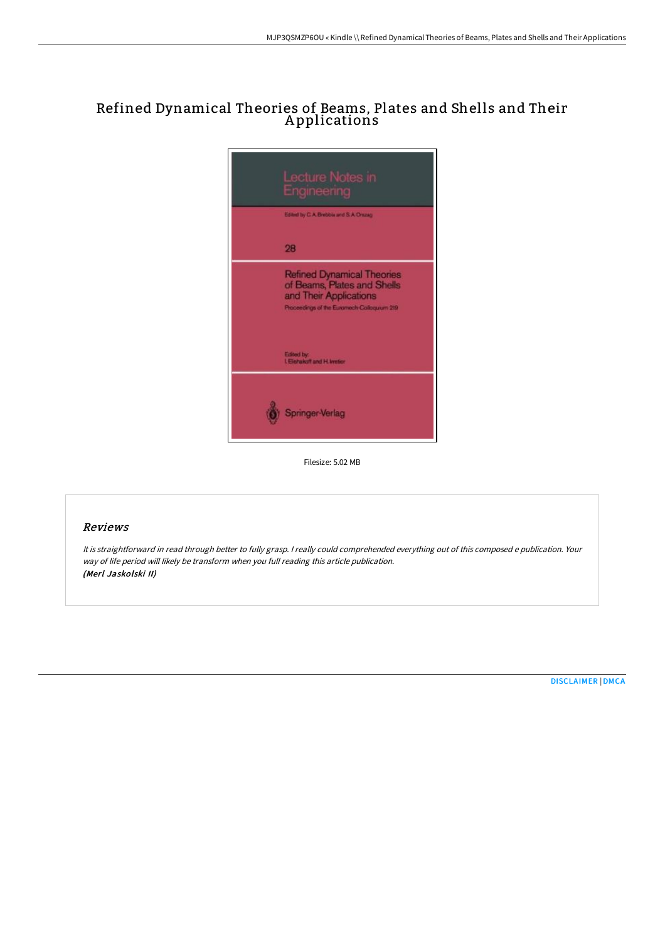# Refined Dynamical Theories of Beams, Plates and Shells and Their A pplications



Filesize: 5.02 MB

### Reviews

It is straightforward in read through better to fully grasp. <sup>I</sup> really could comprehended everything out of this composed <sup>e</sup> publication. Your way of life period will likely be transform when you full reading this article publication. (Merl Jaskolski II)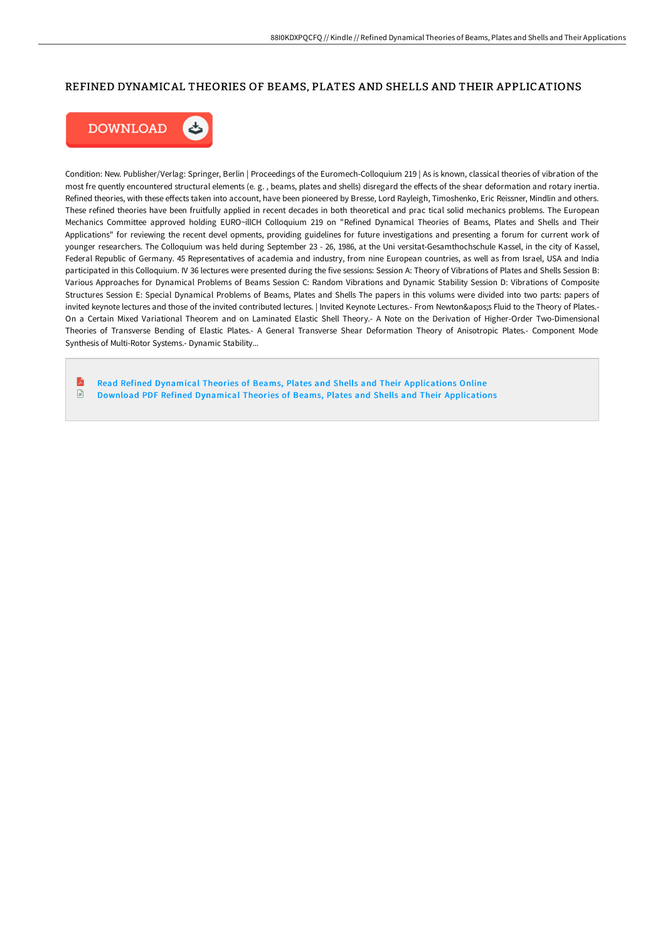### REFINED DYNAMICAL THEORIES OF BEAMS, PLATES AND SHELLS AND THEIR APPLICATIONS



Condition: New. Publisher/Verlag: Springer, Berlin | Proceedings of the Euromech-Colloquium 219 | As is known, classical theories of vibration of the most fre quently encountered structural elements (e.g., beams, plates and shells) disregard the effects of the shear deformation and rotary inertia. Refined theories, with these effects taken into account, have been pioneered by Bresse, Lord Rayleigh, Timoshenko, Eric Reissner, Mindlin and others. These refined theories have been fruitfully applied in recent decades in both theoretical and prac tical solid mechanics problems. The European Mechanics Committee approved holding EURO~illCH Colloquium 219 on "Refined Dynamical Theories of Beams, Plates and Shells and Their Applications" for reviewing the recent devel opments, providing guidelines for future investigations and presenting a forum for current work of younger researchers. The Colloquium was held during September 23 - 26, 1986, at the Uni versitat-Gesamthochschule Kassel, in the city of Kassel, Federal Republic of Germany. 45 Representatives of academia and industry, from nine European countries, as well as from Israel, USA and India participated in this Colloquium. IV 36 lectures were presented during the five sessions: Session A: Theory of Vibrations of Plates and Shells Session B: Various Approaches for Dynamical Problems of Beams Session C: Random Vibrations and Dynamic Stability Session D: Vibrations of Composite Structures Session E: Special Dynamical Problems of Beams, Plates and Shells The papers in this volums were divided into two parts: papers of invited keynote lectures and those of the invited contributed lectures. | Invited Keynote Lectures.- From Newton's Fluid to the Theory of Plates.-On a Certain Mixed Variational Theorem and on Laminated Elastic Shell Theory.- A Note on the Derivation of Higher-Order Two-Dimensional Theories of Transverse Bending of Elastic Plates.- A General Transverse Shear Deformation Theory of Anisotropic Plates.- Component Mode Synthesis of Multi-Rotor Systems.- Dynamic Stability...

R Read Refined Dynamical Theories of Beams, Plates and Shells and Their [Applications](http://techno-pub.tech/refined-dynamical-theories-of-beams-plates-and-s.html) Online  $\Box$ Download PDF Refined Dynamical Theories of Beams, Plates and Shells and Their [Applications](http://techno-pub.tech/refined-dynamical-theories-of-beams-plates-and-s.html)